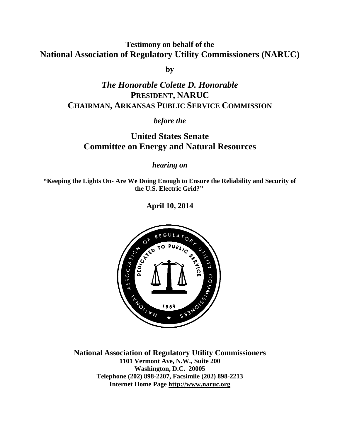**Testimony on behalf of the National Association of Regulatory Utility Commissioners (NARUC)**

**by**

# *The Honorable Colette D. Honorable* **PRESIDENT, NARUC CHAIRMAN, ARKANSAS PUBLIC SERVICE COMMISSION**

### *before the*

# **United States Senate Committee on Energy and Natural Resources**

*hearing on*

**"Keeping the Lights On- Are We Doing Enough to Ensure the Reliability and Security of the U.S. Electric Grid?"**

**April 10, 2014**



**National Association of Regulatory Utility Commissioners 1101 Vermont Ave, N.W., Suite 200 Washington, D.C. 20005 Telephone (202) 898-2207, Facsimile (202) 898-2213 Internet Home Page [http://www.naruc.org](http://www.naruc.org/)**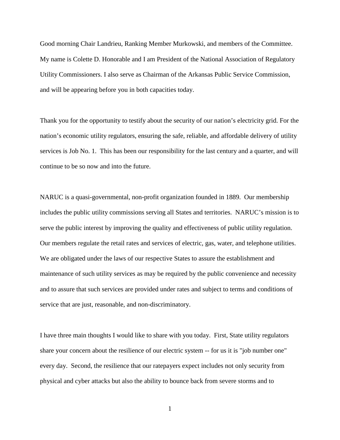Good morning Chair Landrieu, Ranking Member Murkowski, and members of the Committee. My name is Colette D. Honorable and I am President of the National Association of Regulatory Utility Commissioners. I also serve as Chairman of the Arkansas Public Service Commission, and will be appearing before you in both capacities today.

Thank you for the opportunity to testify about the security of our nation's electricity grid. For the nation's economic utility regulators, ensuring the safe, reliable, and affordable delivery of utility services is Job No. 1. This has been our responsibility for the last century and a quarter, and will continue to be so now and into the future.

NARUC is a quasi-governmental, non-profit organization founded in 1889. Our membership includes the public utility commissions serving all States and territories. NARUC's mission is to serve the public interest by improving the quality and effectiveness of public utility regulation. Our members regulate the retail rates and services of electric, gas, water, and telephone utilities. We are obligated under the laws of our respective States to assure the establishment and maintenance of such utility services as may be required by the public convenience and necessity and to assure that such services are provided under rates and subject to terms and conditions of service that are just, reasonable, and non-discriminatory.

I have three main thoughts I would like to share with you today. First, State utility regulators share your concern about the resilience of our electric system -- for us it is "job number one" every day. Second, the resilience that our ratepayers expect includes not only security from physical and cyber attacks but also the ability to bounce back from severe storms and to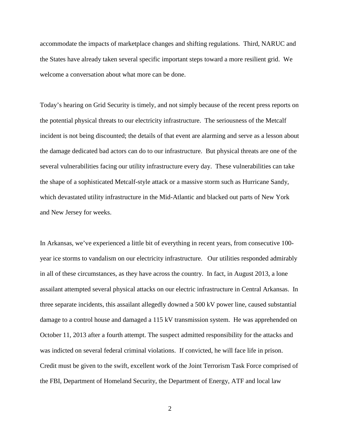accommodate the impacts of marketplace changes and shifting regulations. Third, NARUC and the States have already taken several specific important steps toward a more resilient grid. We welcome a conversation about what more can be done.

Today's hearing on Grid Security is timely, and not simply because of the recent press reports on the potential physical threats to our electricity infrastructure. The seriousness of the Metcalf incident is not being discounted; the details of that event are alarming and serve as a lesson about the damage dedicated bad actors can do to our infrastructure. But physical threats are one of the several vulnerabilities facing our utility infrastructure every day. These vulnerabilities can take the shape of a sophisticated Metcalf-style attack or a massive storm such as Hurricane Sandy, which devastated utility infrastructure in the Mid-Atlantic and blacked out parts of New York and New Jersey for weeks.

In Arkansas, we've experienced a little bit of everything in recent years, from consecutive 100 year ice storms to vandalism on our electricity infrastructure. Our utilities responded admirably in all of these circumstances, as they have across the country. In fact, in August 2013, a lone assailant attempted several physical attacks on our electric infrastructure in Central Arkansas. In three separate incidents, this assailant allegedly downed a 500 kV power line, caused substantial damage to a control house and damaged a 115 kV transmission system. He was apprehended on October 11, 2013 after a fourth attempt. The suspect admitted responsibility for the attacks and was indicted on several federal criminal violations. If convicted, he will face life in prison. Credit must be given to the swift, excellent work of the Joint Terrorism Task Force comprised of the FBI, Department of Homeland Security, the Department of Energy, ATF and local law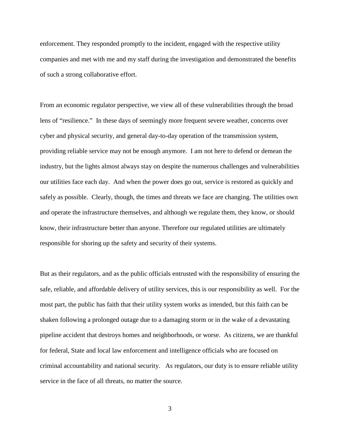enforcement. They responded promptly to the incident, engaged with the respective utility companies and met with me and my staff during the investigation and demonstrated the benefits of such a strong collaborative effort.

From an economic regulator perspective, we view all of these vulnerabilities through the broad lens of "resilience." In these days of seemingly more frequent severe weather, concerns over cyber and physical security, and general day-to-day operation of the transmission system, providing reliable service may not be enough anymore. I am not here to defend or demean the industry, but the lights almost always stay on despite the numerous challenges and vulnerabilities our utilities face each day. And when the power does go out, service is restored as quickly and safely as possible. Clearly, though, the times and threats we face are changing. The utilities own and operate the infrastructure themselves, and although we regulate them, they know, or should know, their infrastructure better than anyone. Therefore our regulated utilities are ultimately responsible for shoring up the safety and security of their systems.

But as their regulators, and as the public officials entrusted with the responsibility of ensuring the safe, reliable, and affordable delivery of utility services, this is our responsibility as well. For the most part, the public has faith that their utility system works as intended, but this faith can be shaken following a prolonged outage due to a damaging storm or in the wake of a devastating pipeline accident that destroys homes and neighborhoods, or worse. As citizens, we are thankful for federal, State and local law enforcement and intelligence officials who are focused on criminal accountability and national security. As regulators, our duty is to ensure reliable utility service in the face of all threats, no matter the source.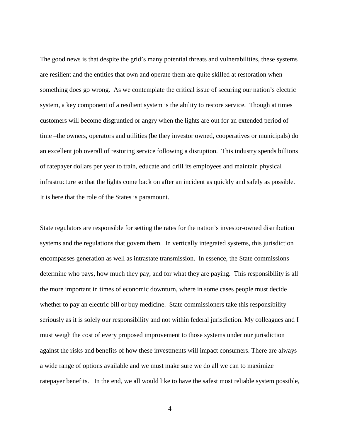The good news is that despite the grid's many potential threats and vulnerabilities, these systems are resilient and the entities that own and operate them are quite skilled at restoration when something does go wrong. As we contemplate the critical issue of securing our nation's electric system, a key component of a resilient system is the ability to restore service. Though at times customers will become disgruntled or angry when the lights are out for an extended period of time –the owners, operators and utilities (be they investor owned, cooperatives or municipals) do an excellent job overall of restoring service following a disruption. This industry spends billions of ratepayer dollars per year to train, educate and drill its employees and maintain physical infrastructure so that the lights come back on after an incident as quickly and safely as possible. It is here that the role of the States is paramount.

State regulators are responsible for setting the rates for the nation's investor-owned distribution systems and the regulations that govern them. In vertically integrated systems, this jurisdiction encompasses generation as well as intrastate transmission. In essence, the State commissions determine who pays, how much they pay, and for what they are paying. This responsibility is all the more important in times of economic downturn, where in some cases people must decide whether to pay an electric bill or buy medicine. State commissioners take this responsibility seriously as it is solely our responsibility and not within federal jurisdiction. My colleagues and I must weigh the cost of every proposed improvement to those systems under our jurisdiction against the risks and benefits of how these investments will impact consumers. There are always a wide range of options available and we must make sure we do all we can to maximize ratepayer benefits. In the end, we all would like to have the safest most reliable system possible,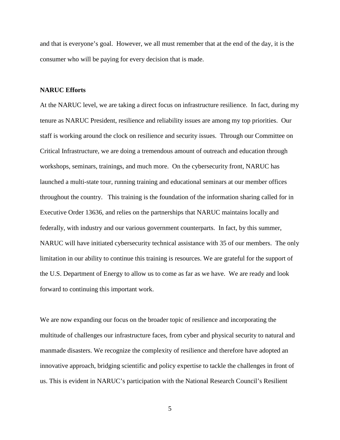and that is everyone's goal. However, we all must remember that at the end of the day, it is the consumer who will be paying for every decision that is made.

#### **NARUC Efforts**

At the NARUC level, we are taking a direct focus on infrastructure resilience. In fact, during my tenure as NARUC President, resilience and reliability issues are among my top priorities. Our staff is working around the clock on resilience and security issues. Through our Committee on Critical Infrastructure, we are doing a tremendous amount of outreach and education through workshops, seminars, trainings, and much more. On the cybersecurity front, NARUC has launched a multi-state tour, running training and educational seminars at our member offices throughout the country. This training is the foundation of the information sharing called for in Executive Order 13636, and relies on the partnerships that NARUC maintains locally and federally, with industry and our various government counterparts. In fact, by this summer, NARUC will have initiated cybersecurity technical assistance with 35 of our members. The only limitation in our ability to continue this training is resources. We are grateful for the support of the U.S. Department of Energy to allow us to come as far as we have. We are ready and look forward to continuing this important work.

We are now expanding our focus on the broader topic of resilience and incorporating the multitude of challenges our infrastructure faces, from cyber and physical security to natural and manmade disasters. We recognize the complexity of resilience and therefore have adopted an innovative approach, bridging scientific and policy expertise to tackle the challenges in front of us. This is evident in NARUC's participation with the National Research Council's Resilient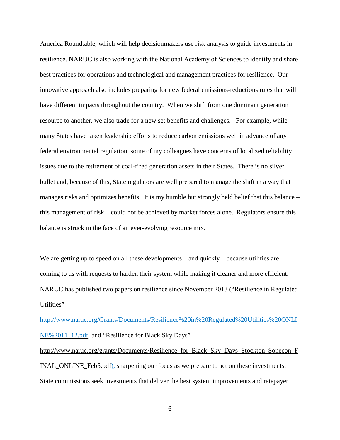America Roundtable, which will help decisionmakers use risk analysis to guide investments in resilience. NARUC is also working with the National Academy of Sciences to identify and share best practices for operations and technological and management practices for resilience. Our innovative approach also includes preparing for new federal emissions-reductions rules that will have different impacts throughout the country. When we shift from one dominant generation resource to another, we also trade for a new set benefits and challenges. For example, while many States have taken leadership efforts to reduce carbon emissions well in advance of any federal environmental regulation, some of my colleagues have concerns of localized reliability issues due to the retirement of coal-fired generation assets in their States. There is no silver bullet and, because of this, State regulators are well prepared to manage the shift in a way that manages risks and optimizes benefits. It is my humble but strongly held belief that this balance – this management of risk – could not be achieved by market forces alone. Regulators ensure this balance is struck in the face of an ever-evolving resource mix.

We are getting up to speed on all these developments—and quickly—because utilities are coming to us with requests to harden their system while making it cleaner and more efficient. NARUC has published two papers on resilience since November 2013 ("Resilience in Regulated Utilities"

[http://www.naruc.org/Grants/Documents/Resilience%20in%20Regulated%20Utilities%20ONLI](http://www.naruc.org/Grants/Documents/Resilience%20in%20Regulated%20Utilities%20ONLINE%2011_12.pdf) [NE%2011\\_12.pdf,](http://www.naruc.org/Grants/Documents/Resilience%20in%20Regulated%20Utilities%20ONLINE%2011_12.pdf) and "Resilience for Black Sky Days" [http://www.naruc.org/grants/Documents/Resilience\\_for\\_Black\\_Sky\\_Days\\_Stockton\\_Sonecon\\_F](http://www.naruc.org/grants/Documents/Resilience_for_Black_Sky_Days_Stockton_Sonecon_FINAL_ONLINE_Feb5.pdf) [INAL\\_ONLINE\\_Feb5.pdf\)](http://www.naruc.org/grants/Documents/Resilience_for_Black_Sky_Days_Stockton_Sonecon_FINAL_ONLINE_Feb5.pdf), sharpening our focus as we prepare to act on these investments. State commissions seek investments that deliver the best system improvements and ratepayer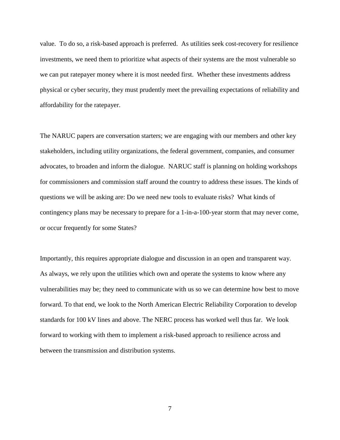value. To do so, a risk-based approach is preferred. As utilities seek cost-recovery for resilience investments, we need them to prioritize what aspects of their systems are the most vulnerable so we can put ratepayer money where it is most needed first. Whether these investments address physical or cyber security, they must prudently meet the prevailing expectations of reliability and affordability for the ratepayer.

The NARUC papers are conversation starters; we are engaging with our members and other key stakeholders, including utility organizations, the federal government, companies, and consumer advocates, to broaden and inform the dialogue. NARUC staff is planning on holding workshops for commissioners and commission staff around the country to address these issues. The kinds of questions we will be asking are: Do we need new tools to evaluate risks? What kinds of contingency plans may be necessary to prepare for a 1-in-a-100-year storm that may never come, or occur frequently for some States?

Importantly, this requires appropriate dialogue and discussion in an open and transparent way. As always, we rely upon the utilities which own and operate the systems to know where any vulnerabilities may be; they need to communicate with us so we can determine how best to move forward. To that end, we look to the North American Electric Reliability Corporation to develop standards for 100 kV lines and above. The NERC process has worked well thus far. We look forward to working with them to implement a risk-based approach to resilience across and between the transmission and distribution systems.